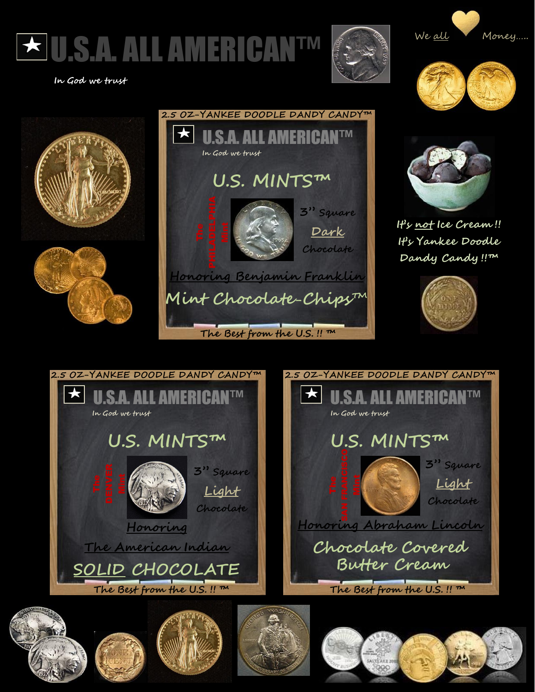



 **In God we trust** 





**It's not Ice Cream !! It's Yankee Doodle Dandy Candy !!™**





 **The Best from the U.S. !! ™**